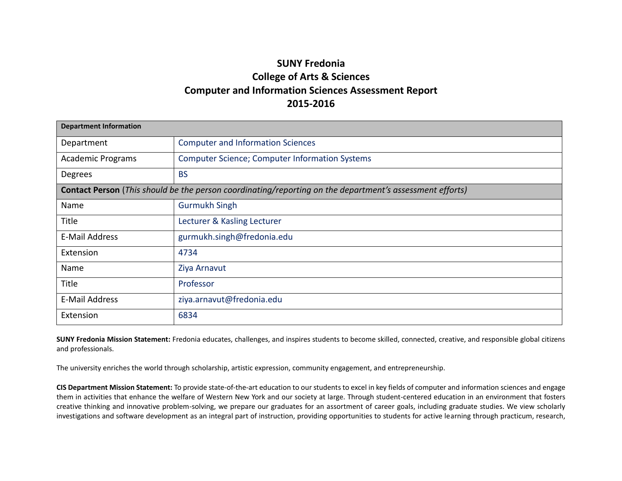## **SUNY Fredonia College of Arts & Sciences Computer and Information Sciences Assessment Report 2015-2016**

| <b>Department Information</b> |                                                                                                          |  |  |  |  |  |  |
|-------------------------------|----------------------------------------------------------------------------------------------------------|--|--|--|--|--|--|
| Department                    | <b>Computer and Information Sciences</b>                                                                 |  |  |  |  |  |  |
| <b>Academic Programs</b>      | <b>Computer Science; Computer Information Systems</b>                                                    |  |  |  |  |  |  |
| Degrees                       | <b>BS</b>                                                                                                |  |  |  |  |  |  |
|                               | Contact Person (This should be the person coordinating/reporting on the department's assessment efforts) |  |  |  |  |  |  |
| Name                          | <b>Gurmukh Singh</b>                                                                                     |  |  |  |  |  |  |
| <b>Title</b>                  | Lecturer & Kasling Lecturer                                                                              |  |  |  |  |  |  |
| E-Mail Address                | gurmukh.singh@fredonia.edu                                                                               |  |  |  |  |  |  |
| Extension                     | 4734                                                                                                     |  |  |  |  |  |  |
| Name                          | Ziya Arnavut                                                                                             |  |  |  |  |  |  |
| Title                         | Professor                                                                                                |  |  |  |  |  |  |
| E-Mail Address                | ziya.arnavut@fredonia.edu                                                                                |  |  |  |  |  |  |
| Extension                     | 6834                                                                                                     |  |  |  |  |  |  |

**SUNY Fredonia Mission Statement:** Fredonia educates, challenges, and inspires students to become skilled, connected, creative, and responsible global citizens and professionals.

The university enriches the world through scholarship, artistic expression, community engagement, and entrepreneurship.

**CIS Department Mission Statement:** To provide state-of-the-art education to our students to excel in key fields of computer and information sciences and engage them in activities that enhance the welfare of Western New York and our society at large. Through student-centered education in an environment that fosters creative thinking and innovative problem-solving, we prepare our graduates for an assortment of career goals, including graduate studies. We view scholarly investigations and software development as an integral part of instruction, providing opportunities to students for active learning through practicum, research,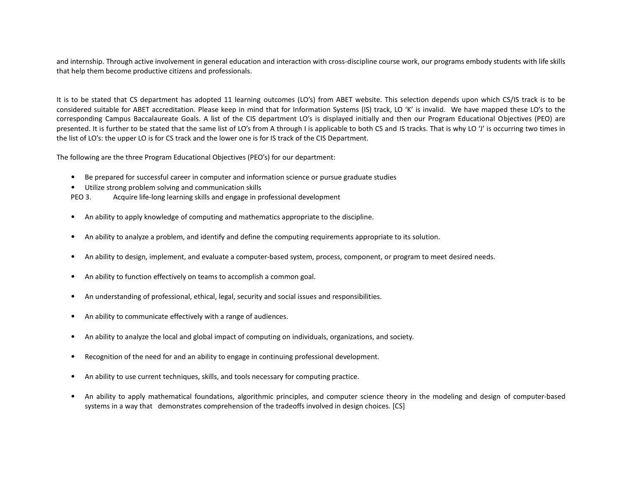and internship. Through active involvement in general education and interaction with cross-discipline course work, our programs embody students with life skills that help them become productive citizens and professionals.

It is to be stated that CS department has adopted 11 learning outcomes (LO's) from ABET website. This selection depends upon which CS/IS track is to be considered suitable for ABET accreditation. Please keep in mind that for Information Systems (IS) track, LO 'K' is invalid. We have mapped these LO's to the corresponding Campus Baccalaureate Goals. A list of the CIS department LO's is displayed initially and then our Program Educational Objectives (PEO) are presented. It is further to be stated that the same list of LO's from A through I is applicable to both CS and IS tracks. That is why LO 'J' is occurring two times in the list of LO's: the upper LO is for CS track and the lower one is for IS track of the CIS Department.

The following are the three Program Educational Objectives (PEO's) for our department:

- Be prepared for successful career in computer and information science or pursue graduate studies
- Utilize strong problem solving and communication skills
- PEO 3. Acquire life-long learning skills and engage in professional development
- An ability to apply knowledge of computing and mathematics appropriate to the discipline.
- An ability to analyze a problem, and identify and define the computing requirements appropriate to its solution.
- An ability to design, implement, and evaluate a computer-based system, process, component, or program to meet desired needs.
- An ability to function effectively on teams to accomplish a common goal.
- An understanding of professional, ethical, legal, security and social issues and responsibilities.
- An ability to communicate effectively with a range of audiences.
- An ability to analyze the local and global impact of computing on individuals, organizations, and society.
- Recognition of the need for and an ability to engage in continuing professional development.
- An ability to use current techniques, skills, and tools necessary for computing practice.
- An ability to apply mathematical foundations, algorithmic principles, and computer science theory in the modeling and design of computer-based systems in a way that demonstrates comprehension of the tradeoffs involved in design choices. [CS]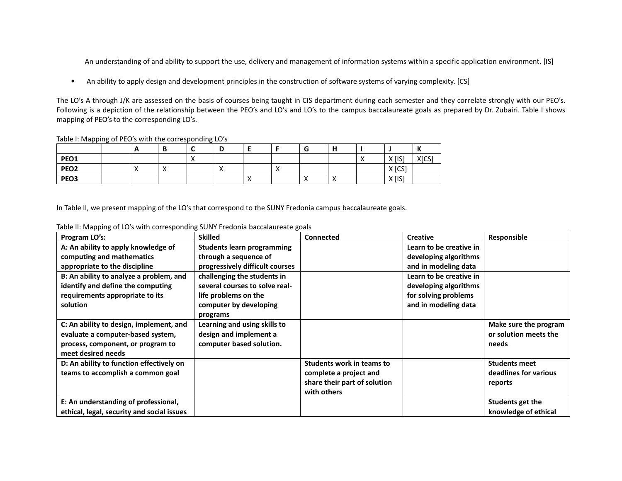An understanding of and ability to support the use, delivery and management of information systems within a specific application environment. [IS]

• An ability to apply design and development principles in the construction of software systems of varying complexity. [CS]

The LO's A through J/K are assessed on the basis of courses being taught in CIS department during each semester and they correlate strongly with our PEO's. Following is a depiction of the relationship between the PEO's and LO's and LO's to the campus baccalaureate goals as prepared by Dr. Zubairi. Table I shows mapping of PEO's to the corresponding LO's.

Table I: Mapping of PEO's with the corresponding LO's

|                  | . . |          | $\overline{\phantom{a}}$ | D        |                      |    | -<br>u    | . .<br>п  |           |                       | $\mathbf{z}$<br>n |
|------------------|-----|----------|--------------------------|----------|----------------------|----|-----------|-----------|-----------|-----------------------|-------------------|
| PEO1             |     |          | $\sqrt{ }$               |          |                      |    |           |           | $\lambda$ | $X$ [IS]<br>$\Lambda$ | X[CS]             |
| PEO <sub>2</sub> |     | $\cdots$ |                          | $\cdots$ |                      | ,, |           |           |           | $X$ [CS]              |                   |
| PEO3             |     |          |                          |          | $\ddot{\phantom{1}}$ |    | $\lambda$ | $\lambda$ |           | $X$ [IS]<br>$\lambda$ |                   |

In Table II, we present mapping of the LO's that correspond to the SUNY Fredonia campus baccalaureate goals.

| Program LO's:                              | <b>Skilled</b>                    | Connected                        | <b>Creative</b>         | Responsible           |
|--------------------------------------------|-----------------------------------|----------------------------------|-------------------------|-----------------------|
| A: An ability to apply knowledge of        | <b>Students learn programming</b> |                                  | Learn to be creative in |                       |
| computing and mathematics                  | through a sequence of             |                                  | developing algorithms   |                       |
| appropriate to the discipline              | progressively difficult courses   |                                  | and in modeling data    |                       |
| B: An ability to analyze a problem, and    | challenging the students in       |                                  | Learn to be creative in |                       |
| identify and define the computing          | several courses to solve real-    |                                  | developing algorithms   |                       |
| requirements appropriate to its            | life problems on the              |                                  | for solving problems    |                       |
| solution                                   | computer by developing            |                                  | and in modeling data    |                       |
|                                            | programs                          |                                  |                         |                       |
| C: An ability to design, implement, and    | Learning and using skills to      |                                  |                         | Make sure the program |
| evaluate a computer-based system,          | design and implement a            |                                  |                         | or solution meets the |
| process, component, or program to          | computer based solution.          |                                  |                         | needs                 |
| meet desired needs                         |                                   |                                  |                         |                       |
| D: An ability to function effectively on   |                                   | <b>Students work in teams to</b> |                         | <b>Students meet</b>  |
| teams to accomplish a common goal          |                                   | complete a project and           |                         | deadlines for various |
|                                            |                                   | share their part of solution     |                         | reports               |
|                                            |                                   | with others                      |                         |                       |
| E: An understanding of professional,       |                                   |                                  |                         | Students get the      |
| ethical, legal, security and social issues |                                   |                                  |                         | knowledge of ethical  |

Table II: Mapping of LO's with corresponding SUNY Fredonia baccalaureate goals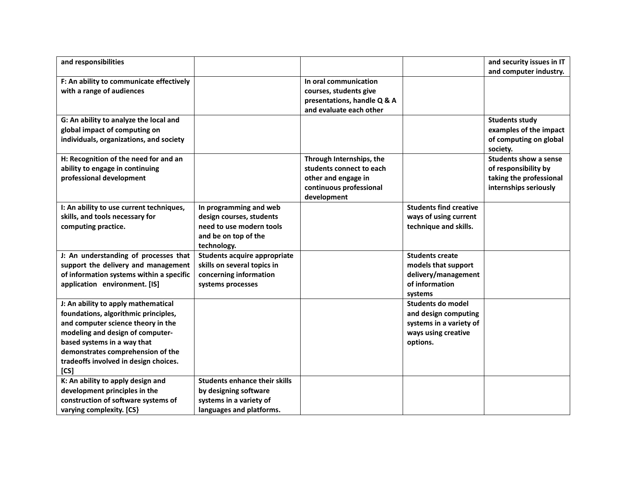| and responsibilities                     |                                      |                             |                               | and security issues in IT    |
|------------------------------------------|--------------------------------------|-----------------------------|-------------------------------|------------------------------|
|                                          |                                      |                             |                               | and computer industry.       |
| F: An ability to communicate effectively |                                      | In oral communication       |                               |                              |
| with a range of audiences                |                                      | courses, students give      |                               |                              |
|                                          |                                      | presentations, handle Q & A |                               |                              |
|                                          |                                      | and evaluate each other     |                               |                              |
| G: An ability to analyze the local and   |                                      |                             |                               | <b>Students study</b>        |
| global impact of computing on            |                                      |                             |                               | examples of the impact       |
| individuals, organizations, and society  |                                      |                             |                               | of computing on global       |
|                                          |                                      |                             |                               | society.                     |
| H: Recognition of the need for and an    |                                      | Through Internships, the    |                               | <b>Students show a sense</b> |
| ability to engage in continuing          |                                      | students connect to each    |                               | of responsibility by         |
| professional development                 |                                      | other and engage in         |                               | taking the professional      |
|                                          |                                      | continuous professional     |                               | internships seriously        |
|                                          |                                      | development                 |                               |                              |
| I: An ability to use current techniques, | In programming and web               |                             | <b>Students find creative</b> |                              |
| skills, and tools necessary for          | design courses, students             |                             | ways of using current         |                              |
| computing practice.                      | need to use modern tools             |                             | technique and skills.         |                              |
|                                          | and be on top of the                 |                             |                               |                              |
|                                          | technology.                          |                             |                               |                              |
| J: An understanding of processes that    | <b>Students acquire appropriate</b>  |                             | <b>Students create</b>        |                              |
| support the delivery and management      | skills on several topics in          |                             | models that support           |                              |
| of information systems within a specific | concerning information               |                             | delivery/management           |                              |
| application environment. [IS]            | systems processes                    |                             | of information                |                              |
|                                          |                                      |                             | systems                       |                              |
| J: An ability to apply mathematical      |                                      |                             | Students do model             |                              |
| foundations, algorithmic principles,     |                                      |                             | and design computing          |                              |
| and computer science theory in the       |                                      |                             | systems in a variety of       |                              |
| modeling and design of computer-         |                                      |                             | ways using creative           |                              |
| based systems in a way that              |                                      |                             | options.                      |                              |
| demonstrates comprehension of the        |                                      |                             |                               |                              |
| tradeoffs involved in design choices.    |                                      |                             |                               |                              |
| [CS]                                     |                                      |                             |                               |                              |
| K: An ability to apply design and        | <b>Students enhance their skills</b> |                             |                               |                              |
| development principles in the            | by designing software                |                             |                               |                              |
| construction of software systems of      | systems in a variety of              |                             |                               |                              |
| varying complexity. [CS]                 | languages and platforms.             |                             |                               |                              |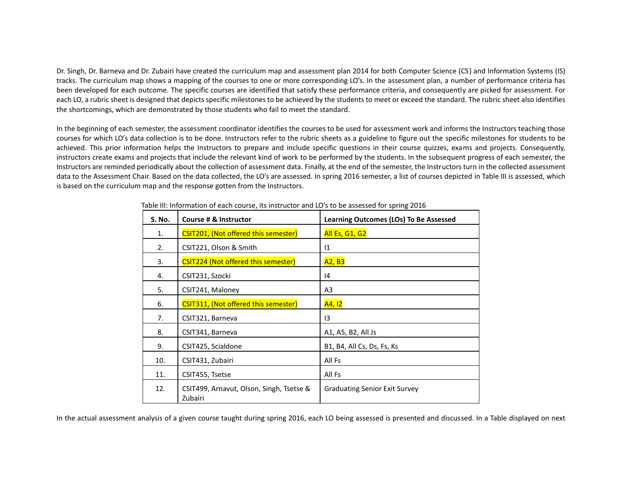Dr. Singh, Dr. Barneva and Dr. Zubairi have created the curriculum map and assessment plan 2014 for both Computer Science (CS) and Information Systems (IS) tracks. The curriculum map shows a mapping of the courses to one or more corresponding LO's. In the assessment plan, a number of performance criteria has been developed for each outcome. The specific courses are identified that satisfy these performance criteria, and consequently are picked for assessment. For each LO, a rubric sheet is designed that depicts specific milestones to be achieved by the students to meet or exceed the standard. The rubric sheet also identifies the shortcomings, which are demonstrated by those students who fail to meet the standard.

In the beginning of each semester, the assessment coordinator identifies the courses to be used for assessment work and informs the Instructors teaching those courses for which LO's data collection is to be done. Instructors refer to the rubric sheets as a guideline to figure out the specific milestones for students to be achieved. This prior information helps the Instructors to prepare and include specific questions in their course quizzes, exams and projects. Consequently, instructors create exams and projects that include the relevant kind of work to be performed by the students. In the subsequent progress of each semester, the Instructors are reminded periodically about the collection of assessment data. Finally, at the end of the semester, the Instructors turn in the collected assessment data to the Assessment Chair. Based on the data collected, the LO's are assessed. In spring 2016 semester, a list of courses depicted in Table III is assessed, which is based on the curriculum map and the response gotten from the Instructors.

| S. No. | Course # & Instructor                               | Learning Outcomes (LOs) To Be Assessed |
|--------|-----------------------------------------------------|----------------------------------------|
| 1.     | CSIT201, (Not offered this semester)                | <b>All Es, G1, G2</b>                  |
| 2.     | CSIT221, Olson & Smith                              | $\overline{11}$                        |
| 3.     | CSIT224 (Not offered this semester)                 | A2, B3                                 |
| 4.     | CSIT231, Szocki                                     | 14                                     |
| 5.     | CSIT241, Maloney                                    | A3                                     |
| 6.     | CSIT311, (Not offered this semester)                | A4, I2                                 |
| 7.     | CSIT321, Barneva                                    | 13                                     |
| 8.     | CSIT341, Barneva                                    | A1, A5, B2, All Js                     |
| 9.     | CSIT425, Scialdone                                  | B1, B4, All Cs, Ds, Fs, Ks             |
| 10.    | CSIT431, Zubairi                                    | All Fs                                 |
| 11.    | CSIT455, Tsetse                                     | All Fs                                 |
| 12.    | CSIT499, Arnavut, Olson, Singh, Tsetse &<br>Zubairi | <b>Graduating Senior Exit Survey</b>   |

Table III: Information of each course, its instructor and LO's to be assessed for spring 2016

In the actual assessment analysis of a given course taught during spring 2016, each LO being assessed is presented and discussed. In a Table displayed on next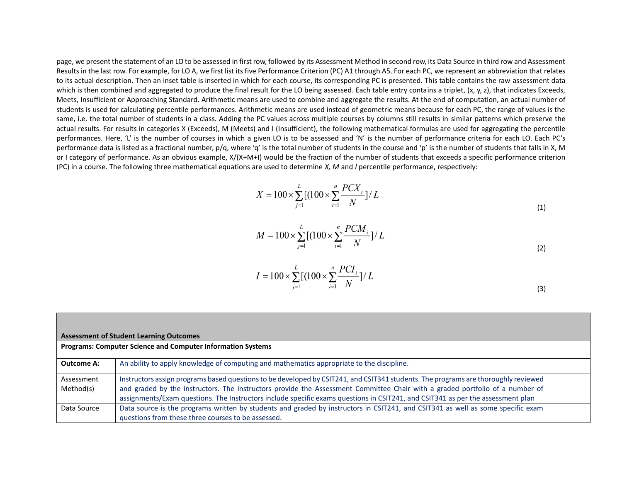page, we present the statement of an LO to be assessed in first row, followed by its Assessment Method in second row, its Data Source in third row and Assessment Results in the last row. For example, for LO A, we first list its five Performance Criterion (PC) A1 through A5. For each PC, we represent an abbreviation that relates to its actual description. Then an inset table is inserted in which for each course, its corresponding PC is presented. This table contains the raw assessment data which is then combined and aggregated to produce the final result for the LO being assessed. Each table entry contains a triplet, (x, y, z), that indicates Exceeds, Meets, Insufficient or Approaching Standard. Arithmetic means are used to combine and aggregate the results. At the end of computation, an actual number of students is used for calculating percentile performances. Arithmetic means are used instead of geometric means because for each PC, the range of values is the same, i.e. the total number of students in a class. Adding the PC values across multiple courses by columns still results in similar patterns which preserve the actual results. For results in categories X (Exceeds), M (Meets) and I (Insufficient), the following mathematical formulas are used for aggregating the percentile performances. Here, 'L' is the number of courses in which a given LO is to be assessed and 'N' is the number of performance criteria for each LO. Each PC's performance data is listed as a fractional number, p/q, where 'q' is the total number of students in the course and 'p' is the number of students that falls in X, M or I category of performance. As an obvious example, X/(X+M+I) would be the fraction of the number of students that exceeds a specific performance criterion (PC) in a course. The following three mathematical equations are used to determine *X, M* and *I* percentile performance, respectively:

$$
X = 100 \times \sum_{j=1}^{L} \left[ (100 \times \sum_{i=1}^{n} \frac{PCX_i}{N}) / L \right]
$$
 (1)

$$
M = 100 \times \sum_{j=1}^{L} \left[ (100 \times \sum_{i=1}^{n} \frac{PCM_i}{N}) / L \right]
$$
 (2)

$$
I = 100 \times \sum_{j=1}^{L} \left[ (100 \times \sum_{i=1}^{n} \frac{PCI_i}{N}) / L \right]
$$
 (3)

| <b>Assessment of Student Learning Outcomes</b> |                                                                                                                                                                                                                                                                                                                                                                                                       |  |  |  |  |  |  |
|------------------------------------------------|-------------------------------------------------------------------------------------------------------------------------------------------------------------------------------------------------------------------------------------------------------------------------------------------------------------------------------------------------------------------------------------------------------|--|--|--|--|--|--|
|                                                | <b>Programs: Computer Science and Computer Information Systems</b>                                                                                                                                                                                                                                                                                                                                    |  |  |  |  |  |  |
| <b>Outcome A:</b>                              | An ability to apply knowledge of computing and mathematics appropriate to the discipline.                                                                                                                                                                                                                                                                                                             |  |  |  |  |  |  |
| Assessment<br>Method(s)                        | Instructors assign programs based questions to be developed by CSIT241, and CSIT341 students. The programs are thoroughly reviewed<br>and graded by the instructors. The instructors provide the Assessment Committee Chair with a graded portfolio of a number of<br>assignments/Exam questions. The Instructors include specific exams questions in CSIT241, and CSIT341 as per the assessment plan |  |  |  |  |  |  |
| Data Source                                    | Data source is the programs written by students and graded by instructors in CSIT241, and CSIT341 as well as some specific exam<br>questions from these three courses to be assessed.                                                                                                                                                                                                                 |  |  |  |  |  |  |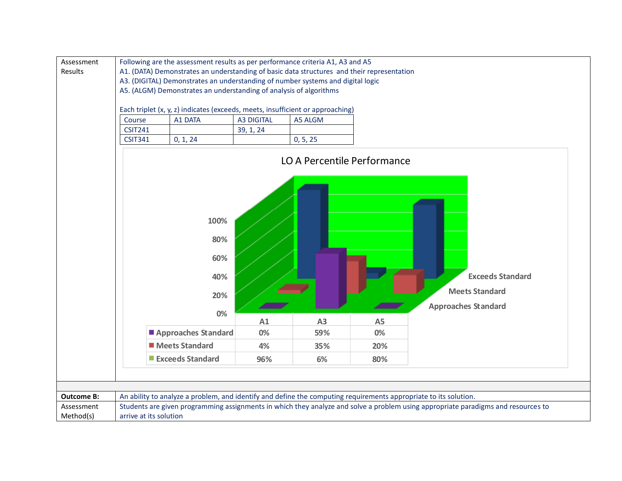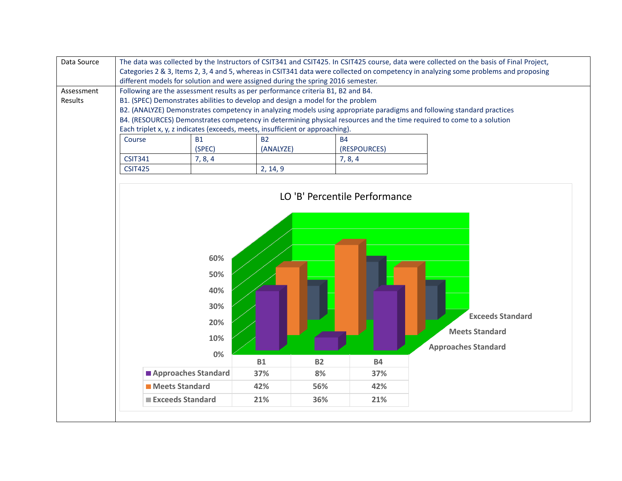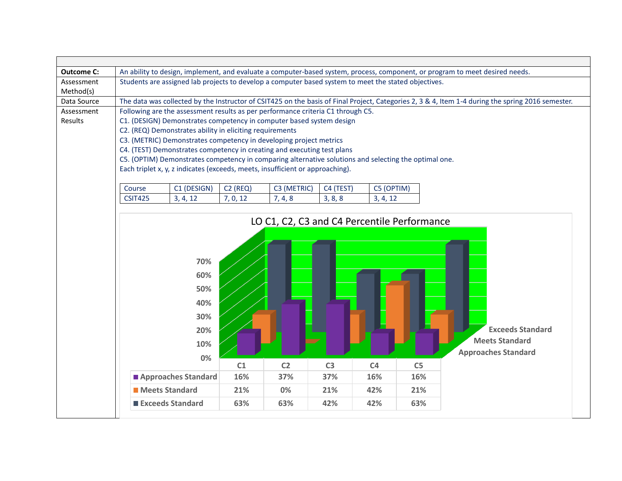| <b>Outcome C:</b> |                                                                                                                                                                                                                     |                                                                                                                                               |            |                                             |                |                |                | An ability to design, implement, and evaluate a computer-based system, process, component, or program to meet desired needs. |  |  |  |  |
|-------------------|---------------------------------------------------------------------------------------------------------------------------------------------------------------------------------------------------------------------|-----------------------------------------------------------------------------------------------------------------------------------------------|------------|---------------------------------------------|----------------|----------------|----------------|------------------------------------------------------------------------------------------------------------------------------|--|--|--|--|
| Assessment        | Students are assigned lab projects to develop a computer based system to meet the stated objectives.                                                                                                                |                                                                                                                                               |            |                                             |                |                |                |                                                                                                                              |  |  |  |  |
| Method(s)         |                                                                                                                                                                                                                     |                                                                                                                                               |            |                                             |                |                |                |                                                                                                                              |  |  |  |  |
| Data Source       | The data was collected by the Instructor of CSIT425 on the basis of Final Project, Categories 2, 3 & 4, Item 1-4 during the spring 2016 semester.                                                                   |                                                                                                                                               |            |                                             |                |                |                |                                                                                                                              |  |  |  |  |
| Assessment        | Following are the assessment results as per performance criteria C1 through C5.<br>C1. (DESIGN) Demonstrates competency in computer based system design<br>C2. (REQ) Demonstrates ability in eliciting requirements |                                                                                                                                               |            |                                             |                |                |                |                                                                                                                              |  |  |  |  |
| Results           |                                                                                                                                                                                                                     |                                                                                                                                               |            |                                             |                |                |                |                                                                                                                              |  |  |  |  |
|                   |                                                                                                                                                                                                                     |                                                                                                                                               |            |                                             |                |                |                |                                                                                                                              |  |  |  |  |
|                   |                                                                                                                                                                                                                     | C3. (METRIC) Demonstrates competency in developing project metrics<br>C4. (TEST) Demonstrates competency in creating and executing test plans |            |                                             |                |                |                |                                                                                                                              |  |  |  |  |
|                   |                                                                                                                                                                                                                     | C5. (OPTIM) Demonstrates competency in comparing alternative solutions and selecting the optimal one.                                         |            |                                             |                |                |                |                                                                                                                              |  |  |  |  |
|                   |                                                                                                                                                                                                                     | Each triplet x, y, z indicates (exceeds, meets, insufficient or approaching).                                                                 |            |                                             |                |                |                |                                                                                                                              |  |  |  |  |
|                   |                                                                                                                                                                                                                     |                                                                                                                                               |            |                                             |                |                |                |                                                                                                                              |  |  |  |  |
|                   | Course                                                                                                                                                                                                              | C1 (DESIGN)                                                                                                                                   | $C2$ (REQ) | C3 (METRIC)                                 | C4 (TEST)      | C5 (OPTIM)     |                |                                                                                                                              |  |  |  |  |
|                   | <b>CSIT425</b>                                                                                                                                                                                                      | 3, 4, 12                                                                                                                                      | 7, 0, 12   | 7, 4, 8                                     | 3, 8, 8        | 3, 4, 12       |                |                                                                                                                              |  |  |  |  |
|                   |                                                                                                                                                                                                                     |                                                                                                                                               |            |                                             |                |                |                |                                                                                                                              |  |  |  |  |
|                   |                                                                                                                                                                                                                     |                                                                                                                                               |            | LO C1, C2, C3 and C4 Percentile Performance |                |                |                |                                                                                                                              |  |  |  |  |
|                   |                                                                                                                                                                                                                     |                                                                                                                                               |            |                                             |                |                |                |                                                                                                                              |  |  |  |  |
|                   |                                                                                                                                                                                                                     |                                                                                                                                               |            |                                             |                |                |                |                                                                                                                              |  |  |  |  |
|                   |                                                                                                                                                                                                                     |                                                                                                                                               |            |                                             |                |                |                |                                                                                                                              |  |  |  |  |
|                   |                                                                                                                                                                                                                     | 70%                                                                                                                                           |            |                                             |                |                |                |                                                                                                                              |  |  |  |  |
|                   |                                                                                                                                                                                                                     | 60%                                                                                                                                           |            |                                             |                |                |                |                                                                                                                              |  |  |  |  |
|                   |                                                                                                                                                                                                                     |                                                                                                                                               |            |                                             |                |                |                |                                                                                                                              |  |  |  |  |
|                   |                                                                                                                                                                                                                     | 50%                                                                                                                                           |            |                                             |                |                |                |                                                                                                                              |  |  |  |  |
|                   |                                                                                                                                                                                                                     | 40%                                                                                                                                           |            |                                             |                |                |                |                                                                                                                              |  |  |  |  |
|                   |                                                                                                                                                                                                                     | 30%                                                                                                                                           |            |                                             |                |                |                |                                                                                                                              |  |  |  |  |
|                   |                                                                                                                                                                                                                     |                                                                                                                                               |            |                                             |                |                |                |                                                                                                                              |  |  |  |  |
|                   |                                                                                                                                                                                                                     | 20%                                                                                                                                           |            |                                             |                |                |                | <b>Exceeds Standard</b>                                                                                                      |  |  |  |  |
|                   |                                                                                                                                                                                                                     | 10%                                                                                                                                           |            |                                             |                |                |                | <b>Meets Standard</b>                                                                                                        |  |  |  |  |
|                   |                                                                                                                                                                                                                     | 0%                                                                                                                                            |            |                                             |                |                |                | <b>Approaches Standard</b>                                                                                                   |  |  |  |  |
|                   |                                                                                                                                                                                                                     |                                                                                                                                               | C1         | C <sub>2</sub>                              | C <sub>3</sub> | C <sub>4</sub> | C <sub>5</sub> |                                                                                                                              |  |  |  |  |
|                   |                                                                                                                                                                                                                     | Approaches Standard                                                                                                                           | 16%        | 37%                                         | 37%            | 16%            | 16%            |                                                                                                                              |  |  |  |  |
|                   |                                                                                                                                                                                                                     | Meets Standard                                                                                                                                | 21%        | 0%                                          | 21%            | 42%            | 21%            |                                                                                                                              |  |  |  |  |
|                   |                                                                                                                                                                                                                     | <b>Exceeds Standard</b>                                                                                                                       | 63%        | 63%                                         | 42%            | 42%            | 63%            |                                                                                                                              |  |  |  |  |
|                   |                                                                                                                                                                                                                     |                                                                                                                                               |            |                                             |                |                |                |                                                                                                                              |  |  |  |  |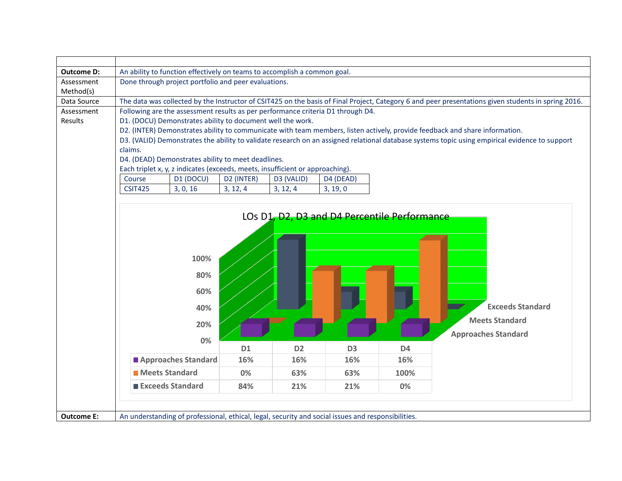| <b>Outcome D:</b> | An ability to function effectively on teams to accomplish a common goal.                                                                            |                     |            |                |                |                                                                                                |                                                                                                                                                |  |  |  |
|-------------------|-----------------------------------------------------------------------------------------------------------------------------------------------------|---------------------|------------|----------------|----------------|------------------------------------------------------------------------------------------------|------------------------------------------------------------------------------------------------------------------------------------------------|--|--|--|
| Assessment        | Done through project portfolio and peer evaluations.                                                                                                |                     |            |                |                |                                                                                                |                                                                                                                                                |  |  |  |
| Method(s)         |                                                                                                                                                     |                     |            |                |                |                                                                                                |                                                                                                                                                |  |  |  |
| Data Source       | The data was collected by the Instructor of CSIT425 on the basis of Final Project, Category 6 and peer presentations given students in spring 2016. |                     |            |                |                |                                                                                                |                                                                                                                                                |  |  |  |
| Assessment        | Following are the assessment results as per performance criteria D1 through D4.                                                                     |                     |            |                |                |                                                                                                |                                                                                                                                                |  |  |  |
| Results           | D1. (DOCU) Demonstrates ability to document well the work.                                                                                          |                     |            |                |                |                                                                                                |                                                                                                                                                |  |  |  |
|                   |                                                                                                                                                     |                     |            |                |                |                                                                                                | D2. (INTER) Demonstrates ability to communicate with team members, listen actively, provide feedback and share information.                    |  |  |  |
|                   |                                                                                                                                                     |                     |            |                |                |                                                                                                | D3. (VALID) Demonstrates the ability to validate research on an assigned relational database systems topic using empirical evidence to support |  |  |  |
|                   | claims.                                                                                                                                             |                     |            |                |                |                                                                                                |                                                                                                                                                |  |  |  |
|                   | D4. (DEAD) Demonstrates ability to meet deadlines.                                                                                                  |                     |            |                |                |                                                                                                |                                                                                                                                                |  |  |  |
|                   | Each triplet x, y, z indicates (exceeds, meets, insufficient or approaching).                                                                       |                     |            |                |                |                                                                                                |                                                                                                                                                |  |  |  |
|                   | Course                                                                                                                                              | D1 (DOCU)           | D2 (INTER) | D3 (VALID)     | D4 (DEAD)      |                                                                                                |                                                                                                                                                |  |  |  |
|                   | <b>CSIT425</b>                                                                                                                                      | 3, 0, 16            | 3, 12, 4   | 3, 12, 4       | 3, 19, 0       |                                                                                                |                                                                                                                                                |  |  |  |
|                   |                                                                                                                                                     |                     |            |                |                |                                                                                                |                                                                                                                                                |  |  |  |
|                   |                                                                                                                                                     |                     |            |                |                | LOs D <sub>1</sub> , D <sub>2</sub> , D <sub>3</sub> and D <sub>4</sub> Percentile Performance |                                                                                                                                                |  |  |  |
|                   |                                                                                                                                                     |                     |            |                |                |                                                                                                |                                                                                                                                                |  |  |  |
|                   |                                                                                                                                                     |                     |            |                |                |                                                                                                |                                                                                                                                                |  |  |  |
|                   |                                                                                                                                                     |                     |            |                |                |                                                                                                |                                                                                                                                                |  |  |  |
|                   |                                                                                                                                                     |                     |            |                |                |                                                                                                |                                                                                                                                                |  |  |  |
|                   |                                                                                                                                                     | 100%                |            |                |                |                                                                                                |                                                                                                                                                |  |  |  |
|                   |                                                                                                                                                     | 80%                 |            |                |                |                                                                                                |                                                                                                                                                |  |  |  |
|                   |                                                                                                                                                     |                     |            |                |                |                                                                                                |                                                                                                                                                |  |  |  |
|                   |                                                                                                                                                     | 60%                 |            |                |                |                                                                                                |                                                                                                                                                |  |  |  |
|                   |                                                                                                                                                     | 40%                 |            |                |                |                                                                                                | <b>Exceeds Standard</b>                                                                                                                        |  |  |  |
|                   |                                                                                                                                                     |                     |            |                |                |                                                                                                |                                                                                                                                                |  |  |  |
|                   |                                                                                                                                                     | 20%                 |            |                |                |                                                                                                | <b>Meets Standard</b>                                                                                                                          |  |  |  |
|                   |                                                                                                                                                     |                     |            |                |                |                                                                                                | <b>Approaches Standard</b>                                                                                                                     |  |  |  |
|                   |                                                                                                                                                     | 0%                  |            |                |                |                                                                                                |                                                                                                                                                |  |  |  |
|                   |                                                                                                                                                     |                     | D1         | D <sub>2</sub> | D <sub>3</sub> | D <sub>4</sub>                                                                                 |                                                                                                                                                |  |  |  |
|                   |                                                                                                                                                     | Approaches Standard | 16%        | 16%            | 16%            | 16%                                                                                            |                                                                                                                                                |  |  |  |
|                   | <b>Meets Standard</b>                                                                                                                               |                     | 0%         | 63%            | 63%            | 100%                                                                                           |                                                                                                                                                |  |  |  |
|                   | Exceeds Standard                                                                                                                                    |                     | 84%        | 21%            | 21%            | 0%                                                                                             |                                                                                                                                                |  |  |  |
|                   |                                                                                                                                                     |                     |            |                |                |                                                                                                |                                                                                                                                                |  |  |  |
|                   |                                                                                                                                                     |                     |            |                |                |                                                                                                |                                                                                                                                                |  |  |  |
| <b>Outcome E:</b> | An understanding of professional, ethical, legal, security and social issues and responsibilities.                                                  |                     |            |                |                |                                                                                                |                                                                                                                                                |  |  |  |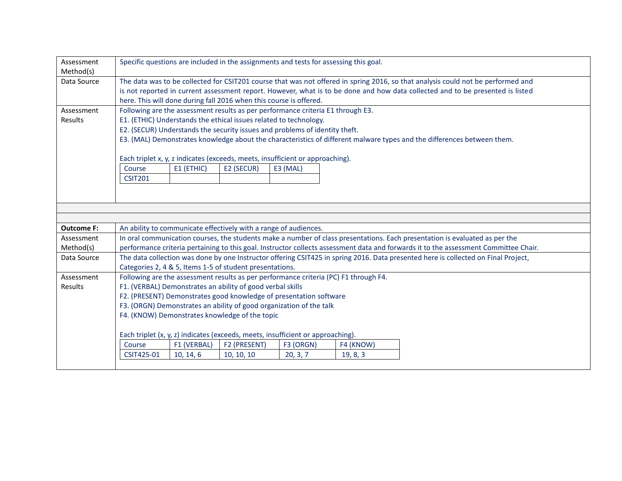| Assessment<br>Method(s) | Specific questions are included in the assignments and tests for assessing this goal.                                                                                                                                                                              |                                                                                 |                            |                       |                                                                                      |                                                                                                                                      |  |  |  |
|-------------------------|--------------------------------------------------------------------------------------------------------------------------------------------------------------------------------------------------------------------------------------------------------------------|---------------------------------------------------------------------------------|----------------------------|-----------------------|--------------------------------------------------------------------------------------|--------------------------------------------------------------------------------------------------------------------------------------|--|--|--|
| Data Source             |                                                                                                                                                                                                                                                                    |                                                                                 |                            |                       |                                                                                      |                                                                                                                                      |  |  |  |
|                         | The data was to be collected for CSIT201 course that was not offered in spring 2016, so that analysis could not be performed and<br>is not reported in current assessment report. However, what is to be done and how data collected and to be presented is listed |                                                                                 |                            |                       |                                                                                      |                                                                                                                                      |  |  |  |
|                         |                                                                                                                                                                                                                                                                    | here. This will done during fall 2016 when this course is offered.              |                            |                       |                                                                                      |                                                                                                                                      |  |  |  |
| Assessment              |                                                                                                                                                                                                                                                                    |                                                                                 |                            |                       | Following are the assessment results as per performance criteria E1 through E3.      |                                                                                                                                      |  |  |  |
| Results                 |                                                                                                                                                                                                                                                                    | E1. (ETHIC) Understands the ethical issues related to technology.               |                            |                       |                                                                                      |                                                                                                                                      |  |  |  |
|                         |                                                                                                                                                                                                                                                                    | E2. (SECUR) Understands the security issues and problems of identity theft.     |                            |                       |                                                                                      |                                                                                                                                      |  |  |  |
|                         |                                                                                                                                                                                                                                                                    |                                                                                 |                            |                       |                                                                                      | E3. (MAL) Demonstrates knowledge about the characteristics of different malware types and the differences between them.              |  |  |  |
|                         |                                                                                                                                                                                                                                                                    |                                                                                 |                            |                       |                                                                                      |                                                                                                                                      |  |  |  |
|                         |                                                                                                                                                                                                                                                                    | Each triplet x, y, z indicates (exceeds, meets, insufficient or approaching).   |                            |                       |                                                                                      |                                                                                                                                      |  |  |  |
|                         | Course                                                                                                                                                                                                                                                             | E1 (ETHIC)                                                                      | E2 (SECUR)                 | E3 (MAL)              |                                                                                      |                                                                                                                                      |  |  |  |
|                         | <b>CSIT201</b>                                                                                                                                                                                                                                                     |                                                                                 |                            |                       |                                                                                      |                                                                                                                                      |  |  |  |
|                         |                                                                                                                                                                                                                                                                    |                                                                                 |                            |                       |                                                                                      |                                                                                                                                      |  |  |  |
|                         |                                                                                                                                                                                                                                                                    |                                                                                 |                            |                       |                                                                                      |                                                                                                                                      |  |  |  |
|                         |                                                                                                                                                                                                                                                                    |                                                                                 |                            |                       |                                                                                      |                                                                                                                                      |  |  |  |
|                         |                                                                                                                                                                                                                                                                    |                                                                                 |                            |                       |                                                                                      |                                                                                                                                      |  |  |  |
|                         |                                                                                                                                                                                                                                                                    |                                                                                 |                            |                       |                                                                                      |                                                                                                                                      |  |  |  |
| <b>Outcome F:</b>       |                                                                                                                                                                                                                                                                    | An ability to communicate effectively with a range of audiences.                |                            |                       |                                                                                      |                                                                                                                                      |  |  |  |
| Assessment              |                                                                                                                                                                                                                                                                    |                                                                                 |                            |                       |                                                                                      | In oral communication courses, the students make a number of class presentations. Each presentation is evaluated as per the          |  |  |  |
| Method(s)               |                                                                                                                                                                                                                                                                    |                                                                                 |                            |                       |                                                                                      | performance criteria pertaining to this goal. Instructor collects assessment data and forwards it to the assessment Committee Chair. |  |  |  |
| Data Source             |                                                                                                                                                                                                                                                                    |                                                                                 |                            |                       |                                                                                      | The data collection was done by one Instructor offering CSIT425 in spring 2016. Data presented here is collected on Final Project,   |  |  |  |
|                         |                                                                                                                                                                                                                                                                    | Categories 2, 4 & 5, Items 1-5 of student presentations.                        |                            |                       |                                                                                      |                                                                                                                                      |  |  |  |
| Assessment              |                                                                                                                                                                                                                                                                    |                                                                                 |                            |                       | Following are the assessment results as per performance criteria (PC) F1 through F4. |                                                                                                                                      |  |  |  |
| Results                 |                                                                                                                                                                                                                                                                    | F1. (VERBAL) Demonstrates an ability of good verbal skills                      |                            |                       |                                                                                      |                                                                                                                                      |  |  |  |
|                         |                                                                                                                                                                                                                                                                    | F2. (PRESENT) Demonstrates good knowledge of presentation software              |                            |                       |                                                                                      |                                                                                                                                      |  |  |  |
|                         |                                                                                                                                                                                                                                                                    | F3. (ORGN) Demonstrates an ability of good organization of the talk             |                            |                       |                                                                                      |                                                                                                                                      |  |  |  |
|                         |                                                                                                                                                                                                                                                                    | F4. (KNOW) Demonstrates knowledge of the topic                                  |                            |                       |                                                                                      |                                                                                                                                      |  |  |  |
|                         |                                                                                                                                                                                                                                                                    |                                                                                 |                            |                       |                                                                                      |                                                                                                                                      |  |  |  |
|                         |                                                                                                                                                                                                                                                                    | Each triplet (x, y, z) indicates (exceeds, meets, insufficient or approaching). |                            |                       |                                                                                      |                                                                                                                                      |  |  |  |
|                         | Course<br>CSIT425-01                                                                                                                                                                                                                                               | F1 (VERBAL)<br>10, 14, 6                                                        | F2 (PRESENT)<br>10, 10, 10 | F3 (ORGN)<br>20, 3, 7 | F4 (KNOW)<br>19, 8, 3                                                                |                                                                                                                                      |  |  |  |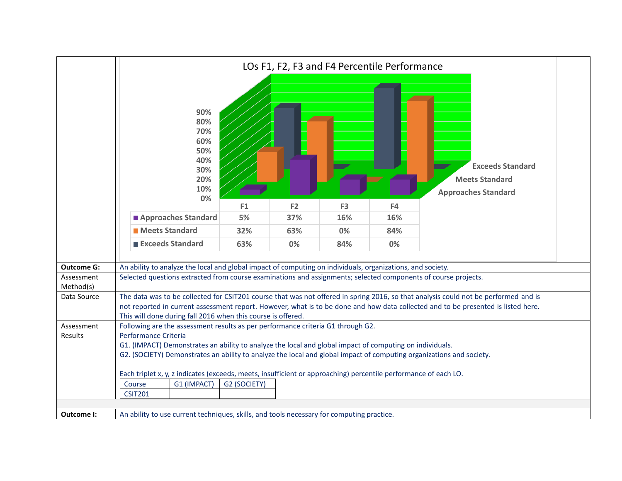|                         | LOs F1, F2, F3 and F4 Percentile Performance                                                                                                                                                                                                                                                                                                                                                                |              |                |                |     |                                                                                                                                                                                                                                                                          |  |  |  |
|-------------------------|-------------------------------------------------------------------------------------------------------------------------------------------------------------------------------------------------------------------------------------------------------------------------------------------------------------------------------------------------------------------------------------------------------------|--------------|----------------|----------------|-----|--------------------------------------------------------------------------------------------------------------------------------------------------------------------------------------------------------------------------------------------------------------------------|--|--|--|
|                         | 90%<br>80%<br>70%<br>60%<br>50%<br>40%<br>30%<br>20%<br>10%<br>0%                                                                                                                                                                                                                                                                                                                                           |              |                |                |     | <b>Exceeds Standard</b><br><b>Meets Standard</b><br><b>Approaches Standard</b>                                                                                                                                                                                           |  |  |  |
|                         |                                                                                                                                                                                                                                                                                                                                                                                                             | F1           | F <sub>2</sub> | F <sub>3</sub> | F4  |                                                                                                                                                                                                                                                                          |  |  |  |
|                         | Approaches Standard                                                                                                                                                                                                                                                                                                                                                                                         | 5%           | 37%            | 16%            | 16% |                                                                                                                                                                                                                                                                          |  |  |  |
|                         | <b>Meets Standard</b>                                                                                                                                                                                                                                                                                                                                                                                       | 32%          | 63%            | 0%             | 84% |                                                                                                                                                                                                                                                                          |  |  |  |
|                         | Exceeds Standard                                                                                                                                                                                                                                                                                                                                                                                            | 63%          | 0%             | 84%            | 0%  |                                                                                                                                                                                                                                                                          |  |  |  |
| <b>Outcome G:</b>       | An ability to analyze the local and global impact of computing on individuals, organizations, and society.                                                                                                                                                                                                                                                                                                  |              |                |                |     |                                                                                                                                                                                                                                                                          |  |  |  |
| Assessment<br>Method(s) | Selected questions extracted from course examinations and assignments; selected components of course projects.                                                                                                                                                                                                                                                                                              |              |                |                |     |                                                                                                                                                                                                                                                                          |  |  |  |
| Data Source             |                                                                                                                                                                                                                                                                                                                                                                                                             |              |                |                |     | The data was to be collected for CSIT201 course that was not offered in spring 2016, so that analysis could not be performed and is<br>not reported in current assessment report. However, what is to be done and how data collected and to be presented is listed here. |  |  |  |
| Assessment<br>Results   | This will done during fall 2016 when this course is offered.<br>Following are the assessment results as per performance criteria G1 through G2.<br>Performance Criteria<br>G1. (IMPACT) Demonstrates an ability to analyze the local and global impact of computing on individuals.<br>G2. (SOCIETY) Demonstrates an ability to analyze the local and global impact of computing organizations and society. |              |                |                |     |                                                                                                                                                                                                                                                                          |  |  |  |
|                         | Each triplet x, y, z indicates (exceeds, meets, insufficient or approaching) percentile performance of each LO.<br>Course<br>G1 (IMPACT)<br><b>CSIT201</b>                                                                                                                                                                                                                                                  | G2 (SOCIETY) |                |                |     |                                                                                                                                                                                                                                                                          |  |  |  |
| Outcome I:              | An ability to use current techniques, skills, and tools necessary for computing practice.                                                                                                                                                                                                                                                                                                                   |              |                |                |     |                                                                                                                                                                                                                                                                          |  |  |  |
|                         |                                                                                                                                                                                                                                                                                                                                                                                                             |              |                |                |     |                                                                                                                                                                                                                                                                          |  |  |  |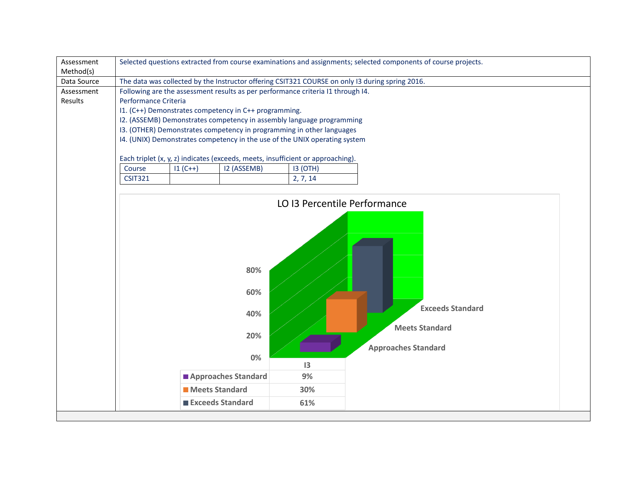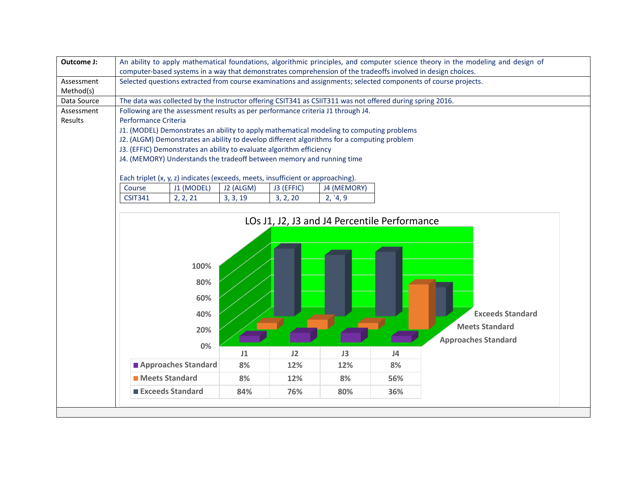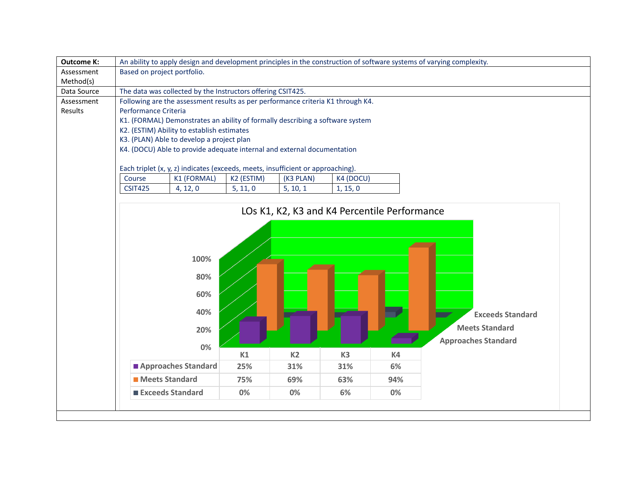| <b>Outcome K:</b> | An ability to apply design and development principles in the construction of software systems of varying complexity. |            |                |                |                                              |                            |  |  |  |  |
|-------------------|----------------------------------------------------------------------------------------------------------------------|------------|----------------|----------------|----------------------------------------------|----------------------------|--|--|--|--|
| Assessment        | Based on project portfolio.                                                                                          |            |                |                |                                              |                            |  |  |  |  |
| Method(s)         |                                                                                                                      |            |                |                |                                              |                            |  |  |  |  |
| Data Source       | The data was collected by the Instructors offering CSIT425.                                                          |            |                |                |                                              |                            |  |  |  |  |
| Assessment        | Following are the assessment results as per performance criteria K1 through K4.                                      |            |                |                |                                              |                            |  |  |  |  |
| Results           | Performance Criteria                                                                                                 |            |                |                |                                              |                            |  |  |  |  |
|                   | K1. (FORMAL) Demonstrates an ability of formally describing a software system                                        |            |                |                |                                              |                            |  |  |  |  |
|                   | K2. (ESTIM) Ability to establish estimates<br>K3. (PLAN) Able to develop a project plan                              |            |                |                |                                              |                            |  |  |  |  |
|                   | K4. (DOCU) Able to provide adequate internal and external documentation                                              |            |                |                |                                              |                            |  |  |  |  |
|                   |                                                                                                                      |            |                |                |                                              |                            |  |  |  |  |
|                   | Each triplet (x, y, z) indicates (exceeds, meets, insufficient or approaching).                                      |            |                |                |                                              |                            |  |  |  |  |
|                   | Course<br>K1 (FORMAL)                                                                                                | K2 (ESTIM) | (K3 PLAN)      | K4 (DOCU)      |                                              |                            |  |  |  |  |
|                   | <b>CSIT425</b><br>4, 12, 0                                                                                           | 5, 11, 0   | 5, 10, 1       | 1, 15, 0       |                                              |                            |  |  |  |  |
|                   |                                                                                                                      |            |                |                |                                              |                            |  |  |  |  |
|                   |                                                                                                                      |            |                |                | LOs K1, K2, K3 and K4 Percentile Performance |                            |  |  |  |  |
|                   |                                                                                                                      |            |                |                |                                              |                            |  |  |  |  |
|                   |                                                                                                                      |            |                |                |                                              |                            |  |  |  |  |
|                   |                                                                                                                      |            |                |                |                                              |                            |  |  |  |  |
|                   |                                                                                                                      |            |                |                |                                              |                            |  |  |  |  |
|                   | 100%                                                                                                                 |            |                |                |                                              |                            |  |  |  |  |
|                   | 80%                                                                                                                  |            |                |                |                                              |                            |  |  |  |  |
|                   |                                                                                                                      |            |                |                |                                              |                            |  |  |  |  |
|                   | 60%                                                                                                                  |            |                |                |                                              |                            |  |  |  |  |
|                   | 40%                                                                                                                  |            |                |                |                                              |                            |  |  |  |  |
|                   |                                                                                                                      |            |                |                |                                              | <b>Exceeds Standard</b>    |  |  |  |  |
|                   | 20%                                                                                                                  |            |                |                |                                              | <b>Meets Standard</b>      |  |  |  |  |
|                   |                                                                                                                      |            |                |                |                                              | <b>Approaches Standard</b> |  |  |  |  |
|                   | 0%                                                                                                                   |            |                |                |                                              |                            |  |  |  |  |
|                   |                                                                                                                      | K1         | K <sub>2</sub> | K <sub>3</sub> | K4                                           |                            |  |  |  |  |
|                   | Approaches Standard                                                                                                  | 25%        | 31%            | 31%            | 6%                                           |                            |  |  |  |  |
|                   | <b>Meets Standard</b>                                                                                                | 75%        | 69%            | 63%            | 94%                                          |                            |  |  |  |  |
|                   | Exceeds Standard                                                                                                     | 0%         | 0%             | 6%             | 0%                                           |                            |  |  |  |  |
|                   |                                                                                                                      |            |                |                |                                              |                            |  |  |  |  |
|                   |                                                                                                                      |            |                |                |                                              |                            |  |  |  |  |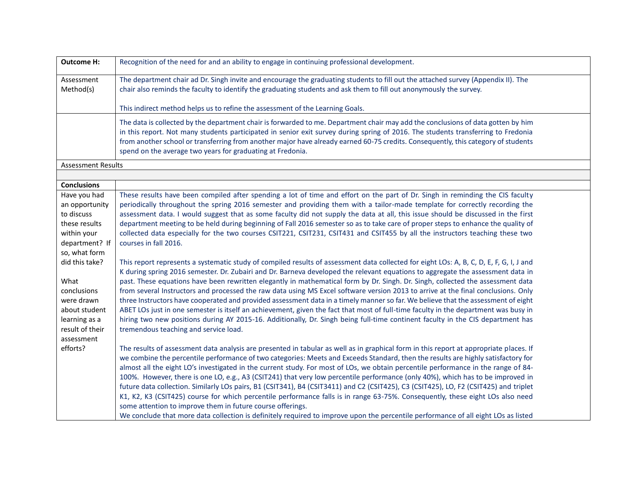| <b>Outcome H:</b>                                                                                                                                                                                                                                 | Recognition of the need for and an ability to engage in continuing professional development.                                                                                                                                                                                                                                                                                                                                                                                                                                                                                                                                                                                                                                                                                                                                                                                                                                                                                                                                                                                                                                                                                                                                                                                                                                                                                                                                                                                                                                                                                                                                                                                                                    |
|---------------------------------------------------------------------------------------------------------------------------------------------------------------------------------------------------------------------------------------------------|-----------------------------------------------------------------------------------------------------------------------------------------------------------------------------------------------------------------------------------------------------------------------------------------------------------------------------------------------------------------------------------------------------------------------------------------------------------------------------------------------------------------------------------------------------------------------------------------------------------------------------------------------------------------------------------------------------------------------------------------------------------------------------------------------------------------------------------------------------------------------------------------------------------------------------------------------------------------------------------------------------------------------------------------------------------------------------------------------------------------------------------------------------------------------------------------------------------------------------------------------------------------------------------------------------------------------------------------------------------------------------------------------------------------------------------------------------------------------------------------------------------------------------------------------------------------------------------------------------------------------------------------------------------------------------------------------------------------|
| Assessment<br>Method(s)                                                                                                                                                                                                                           | The department chair ad Dr. Singh invite and encourage the graduating students to fill out the attached survey (Appendix II). The<br>chair also reminds the faculty to identify the graduating students and ask them to fill out anonymously the survey.                                                                                                                                                                                                                                                                                                                                                                                                                                                                                                                                                                                                                                                                                                                                                                                                                                                                                                                                                                                                                                                                                                                                                                                                                                                                                                                                                                                                                                                        |
|                                                                                                                                                                                                                                                   | This indirect method helps us to refine the assessment of the Learning Goals.                                                                                                                                                                                                                                                                                                                                                                                                                                                                                                                                                                                                                                                                                                                                                                                                                                                                                                                                                                                                                                                                                                                                                                                                                                                                                                                                                                                                                                                                                                                                                                                                                                   |
|                                                                                                                                                                                                                                                   | The data is collected by the department chair is forwarded to me. Department chair may add the conclusions of data gotten by him<br>in this report. Not many students participated in senior exit survey during spring of 2016. The students transferring to Fredonia<br>from another school or transferring from another major have already earned 60-75 credits. Consequently, this category of students<br>spend on the average two years for graduating at Fredonia.                                                                                                                                                                                                                                                                                                                                                                                                                                                                                                                                                                                                                                                                                                                                                                                                                                                                                                                                                                                                                                                                                                                                                                                                                                        |
| <b>Assessment Results</b>                                                                                                                                                                                                                         |                                                                                                                                                                                                                                                                                                                                                                                                                                                                                                                                                                                                                                                                                                                                                                                                                                                                                                                                                                                                                                                                                                                                                                                                                                                                                                                                                                                                                                                                                                                                                                                                                                                                                                                 |
|                                                                                                                                                                                                                                                   |                                                                                                                                                                                                                                                                                                                                                                                                                                                                                                                                                                                                                                                                                                                                                                                                                                                                                                                                                                                                                                                                                                                                                                                                                                                                                                                                                                                                                                                                                                                                                                                                                                                                                                                 |
| <b>Conclusions</b><br>Have you had<br>an opportunity<br>to discuss<br>these results<br>within your<br>department? If<br>so, what form<br>did this take?<br>What<br>conclusions<br>were drawn<br>about student<br>learning as a<br>result of their | These results have been compiled after spending a lot of time and effort on the part of Dr. Singh in reminding the CIS faculty<br>periodically throughout the spring 2016 semester and providing them with a tailor-made template for correctly recording the<br>assessment data. I would suggest that as some faculty did not supply the data at all, this issue should be discussed in the first<br>department meeting to be held during beginning of Fall 2016 semester so as to take care of proper steps to enhance the quality of<br>collected data especially for the two courses CSIT221, CSIT231, CSIT431 and CSIT455 by all the instructors teaching these two<br>courses in fall 2016.<br>This report represents a systematic study of compiled results of assessment data collected for eight LOs: A, B, C, D, E, F, G, I, J and<br>K during spring 2016 semester. Dr. Zubairi and Dr. Barneva developed the relevant equations to aggregate the assessment data in<br>past. These equations have been rewritten elegantly in mathematical form by Dr. Singh. Dr. Singh, collected the assessment data<br>from several Instructors and processed the raw data using MS Excel software version 2013 to arrive at the final conclusions. Only<br>three Instructors have cooperated and provided assessment data in a timely manner so far. We believe that the assessment of eight<br>ABET LOs just in one semester is itself an achievement, given the fact that most of full-time faculty in the department was busy in<br>hiring two new positions during AY 2015-16. Additionally, Dr. Singh being full-time continent faculty in the CIS department has<br>tremendous teaching and service load. |
| assessment<br>efforts?                                                                                                                                                                                                                            | The results of assessment data analysis are presented in tabular as well as in graphical form in this report at appropriate places. If<br>we combine the percentile performance of two categories: Meets and Exceeds Standard, then the results are highly satisfactory for<br>almost all the eight LO's investigated in the current study. For most of LOs, we obtain percentile performance in the range of 84-<br>100%. However, there is one LO, e.g., A3 (CSIT241) that very low percentile performance (only 40%), which has to be improved in<br>future data collection. Similarly LOs pairs, B1 (CSIT341), B4 (CSIT3411) and C2 (CSIT425), C3 (CSIT425), LO, F2 (CSIT425) and triplet<br>K1, K2, K3 (CSIT425) course for which percentile performance falls is in range 63-75%. Consequently, these eight LOs also need<br>some attention to improve them in future course offerings.<br>We conclude that more data collection is definitely required to improve upon the percentile performance of all eight LOs as listed                                                                                                                                                                                                                                                                                                                                                                                                                                                                                                                                                                                                                                                                             |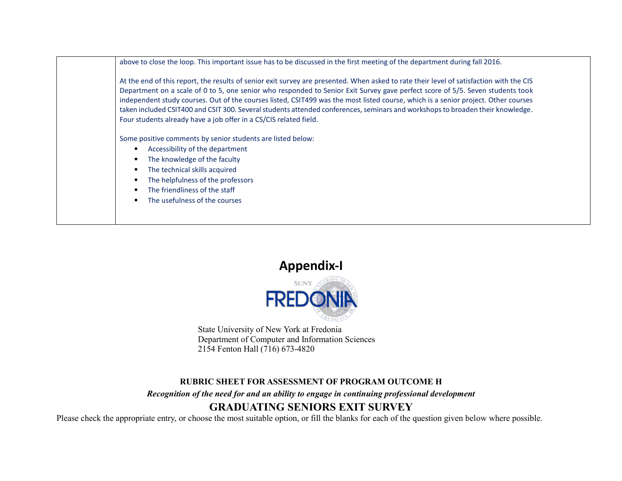| above to close the loop. This important issue has to be discussed in the first meeting of the department during fall 2016.                                                                                                                                                                                                                                                                                                                                                                                                                                                                                             |
|------------------------------------------------------------------------------------------------------------------------------------------------------------------------------------------------------------------------------------------------------------------------------------------------------------------------------------------------------------------------------------------------------------------------------------------------------------------------------------------------------------------------------------------------------------------------------------------------------------------------|
| At the end of this report, the results of senior exit survey are presented. When asked to rate their level of satisfaction with the CIS<br>Department on a scale of 0 to 5, one senior who responded to Senior Exit Survey gave perfect score of 5/5. Seven students took<br>independent study courses. Out of the courses listed, CSIT499 was the most listed course, which is a senior project. Other courses<br>taken included CSIT400 and CSIT 300. Several students attended conferences, seminars and workshops to broaden their knowledge.<br>Four students already have a job offer in a CS/CIS related field. |
| Some positive comments by senior students are listed below:<br>Accessibility of the department<br>٠<br>The knowledge of the faculty<br>$\bullet$<br>The technical skills acquired<br>$\bullet$<br>The helpfulness of the professors<br>٠<br>The friendliness of the staff<br>$\bullet$<br>The usefulness of the courses<br>$\bullet$                                                                                                                                                                                                                                                                                   |

**Appendix-I**



State University of New York at Fredonia Department of Computer and Information Sciences 2154 Fenton Hall (716) 673-4820

## **RUBRIC SHEET FOR ASSESSMENT OF PROGRAM OUTCOME H**

*Recognition of the need for and an ability to engage in continuing professional development* 

## **GRADUATING SENIORS EXIT SURVEY**

Please check the appropriate entry, or choose the most suitable option, or fill the blanks for each of the question given below where possible.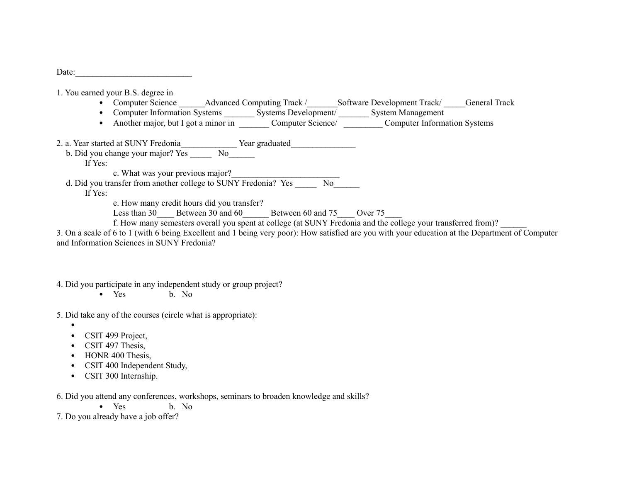Date:

1. You earned your B.S. degree in

- Computer Science Advanced Computing Track / Software Development Track / General Track
- Computer Information Systems <br>Systems Development/ System Management
- Another major, but I got a minor in Computer Science/ Computer Information Systems

2. a. Year started at SUNY Fredonia Year graduated

b. Did you change your major? Yes No

If Yes:

c. What was your previous major?

d. Did you transfer from another college to SUNY Fredonia? Yes No

If Yes:

e. How many credit hours did you transfer?

Less than 30 Less than 30 Between 30 and 60 Less between 60 and 75 Less over 75

f. How many semesters overall you spent at college (at SUNY Fredonia and the college your transferred from)?

3. On a scale of 6 to 1 (with 6 being Excellent and 1 being very poor): How satisfied are you with your education at the Department of Computer and Information Sciences in SUNY Fredonia?

4. Did you participate in any independent study or group project?

• Yes b. No

5. Did take any of the courses (circle what is appropriate):

- •
- CSIT 499 Project,
- CSIT 497 Thesis,
- HONR 400 Thesis,
- CSIT 400 Independent Study,
- CSIT 300 Internship.

6. Did you attend any conferences, workshops, seminars to broaden knowledge and skills?

• Yes b No.

7. Do you already have a job offer?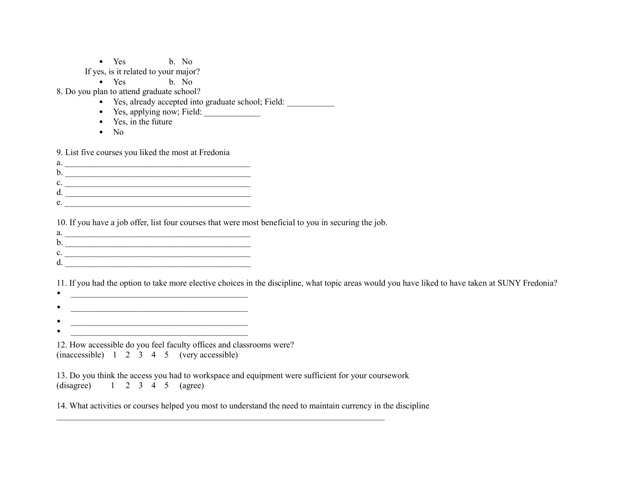• Yes b. No

If yes, is it related to your major?

• Yes b. No

8. Do you plan to attend graduate school?

- Yes, already accepted into graduate school; Field: \_\_\_\_\_\_\_\_\_\_\_
- Yes, applying now; Field: \_\_\_\_\_\_\_\_\_\_\_\_\_
- Yes, in the future
- $\bullet$  No

9. List five courses you liked the most at Fredonia

| a. |  |
|----|--|
| b. |  |
| C. |  |
|    |  |
| e  |  |

10. If you have a job offer, list four courses that were most beneficial to you in securing the job.

- a.  $\frac{1}{2}$  =  $\frac{1}{2}$  =  $\frac{1}{2}$  =  $\frac{1}{2}$  =  $\frac{1}{2}$  =  $\frac{1}{2}$  =  $\frac{1}{2}$  =  $\frac{1}{2}$  =  $\frac{1}{2}$  =  $\frac{1}{2}$  =  $\frac{1}{2}$  =  $\frac{1}{2}$  =  $\frac{1}{2}$  =  $\frac{1}{2}$  =  $\frac{1}{2}$  =  $\frac{1}{2}$  =  $\frac{1}{2}$  =  $\frac{1}{2}$  =  $\$ b. \_\_\_\_\_\_\_\_\_\_\_\_\_\_\_\_\_\_\_\_\_\_\_\_\_\_\_\_\_\_\_\_\_\_\_\_\_\_\_\_\_\_\_
- c. \_\_\_\_\_\_\_\_\_\_\_\_\_\_\_\_\_\_\_\_\_\_\_\_\_\_\_\_\_\_\_\_\_\_\_\_\_\_\_\_\_\_\_

 $d.$ 

11. If you had the option to take more elective choices in the discipline, what topic areas would you have liked to have taken at SUNY Fredonia?

- $\bullet$   $\qquad \qquad$   $\qquad \qquad$   $\qquad$   $\qquad$   $\qquad$   $\qquad$   $\qquad$   $\qquad$   $\qquad$   $\qquad$   $\qquad$   $\qquad$   $\qquad$   $\qquad$   $\qquad$   $\qquad$   $\qquad$   $\qquad$   $\qquad$   $\qquad$   $\qquad$   $\qquad$   $\qquad$   $\qquad$   $\qquad$   $\qquad$   $\qquad$   $\qquad$   $\qquad$   $\qquad$   $\qquad$   $\qquad$   $\qquad$   $\qquad$   $\qquad$   $\bullet$  . The contract of the contract of the contract of the contract of the contract of the contract of the contract of the contract of the contract of the contract of the contract of the contract of the contract of the co
- 
- \_\_\_\_\_\_\_\_\_\_\_\_\_\_\_\_\_\_\_\_\_\_\_\_\_\_\_\_\_\_\_\_\_\_\_\_\_\_\_\_\_ • \_\_\_\_\_\_\_\_\_\_\_\_\_\_\_\_\_\_\_\_\_\_\_\_\_\_\_\_\_\_\_\_\_\_\_\_\_\_\_\_\_
- 12. How accessible do you feel faculty offices and classrooms were? (inaccessible) 1 2 3 4 5 (very accessible)

13. Do you think the access you had to workspace and equipment were sufficient for your coursework  $(disagree)$  1 2 3 4 5 (agree)

 $\mathcal{L}_\text{max} = \mathcal{L}_\text{max} = \mathcal{L}_\text{max} = \mathcal{L}_\text{max} = \mathcal{L}_\text{max} = \mathcal{L}_\text{max} = \mathcal{L}_\text{max} = \mathcal{L}_\text{max} = \mathcal{L}_\text{max} = \mathcal{L}_\text{max} = \mathcal{L}_\text{max} = \mathcal{L}_\text{max} = \mathcal{L}_\text{max} = \mathcal{L}_\text{max} = \mathcal{L}_\text{max} = \mathcal{L}_\text{max} = \mathcal{L}_\text{max} = \mathcal{L}_\text{max} = \mathcal{$ 

14. What activities or courses helped you most to understand the need to maintain currency in the discipline